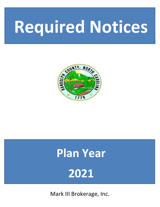# **Required Notices**



## **Plan Year 2021**

Mark III Brokerage, Inc.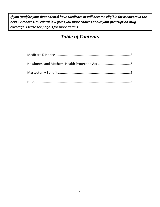*If you (and/or your dependents) have Medicare or will become eligible for Medicare in the next 12 months, a Federal law gives you more choices about your prescription drug coverage. Please see page 3 for more details.* 

### *Table of Contents*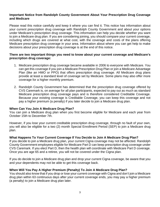#### **Important Notice from Randolph County Government About Your Prescription Drug Coverage and Medicare**

Please read this notice carefully and keep it where you can find it. This notice has information about your current prescription drug coverage with Randolph County Government and about your options under Medicare's prescription drug coverage. This information can help you decide whether you want to join a Medicare drug plan. If you are considering joining, you should compare your current coverage, including which drugs are covered at what cost, with the coverage and costs of the plans offering Medicare prescription drug coverage in your area. Information about where you can get help to make decisions about your prescription drug coverage is at the end of this notice.

#### **There are two important things you need to know about your current coverage and Medicare's prescription drug coverage:**

- 1. Medicare prescription drug coverage became available in 2006 to everyone with Medicare. You can get this coverage if you join a Medicare Prescription Drug Plan or join a Medicare Advantage Plan (like an HMO or PPO) that offers prescription drug coverage. All Medicare drug plans provide at least a standard level of coverage set by Medicare. Some plans may also offer more coverage for a higher monthly premium.
- 2. Randolph County Government has determined that the prescription drug coverage offered by CVS Caremark is, on average for all plan participants, expected to pay out as much as standard Medicare prescription drug coverage pays and is therefore considered Creditable Coverage. Because your existing coverage is Creditable Coverage, you can keep this coverage and not pay a higher premium (a penalty) if you later decide to join a Medicare drug plan.

#### **When Can You Join A Medicare Drug Plan?**

You can join a Medicare drug plan when you first become eligible for Medicare and each year from October 15th to December 7th.

However, if you lose your current creditable prescription drug coverage, through no fault of your own, you will also be eligible for a two (2) month Special Enrollment Period (SEP) to join a Medicare drug plan.

#### **What Happens To Your Current Coverage If You Decide to Join A Medicare Drug Plan?**

If you decide to join a Medicare drug plan, your current Cigna coverage may not be affected. Randolph County Government employees eligible for Medicare Part D can keep prescription drug coverage under CVS Caremark. If you elect Part D, then the health plan will coordinate with Medicare Part D coverage. Once you are age 65 and a retiree, you will not be covered under the Cigna plan.

If you do decide to join a Medicare drug plan and drop your current Cigna coverage, be aware that you and your dependents may not be able to get this coverage back.

#### **When Will You Pay A Higher Premium (Penalty) To Join A Medicare Drug Plan?**

You should also know that if you drop or lose your current coverage with Cigna and don't join a Medicare drug plan within 63 continuous days after your current coverage ends, you may pay a higher premium (a penalty) to join a Medicare drug plan later.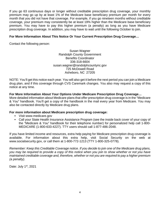If you go 63 continuous days or longer without creditable prescription drug coverage, your monthly premium may go up by at least 1% of the Medicare base beneficiary premium per month for every month that you did not have that coverage. For example, if you go nineteen months without creditable coverage, your premium may consistently be at least 19% higher than the Medicare base beneficiary premium. You may have to pay this higher premium (a penalty) as long as you have Medicare prescription drug coverage. In addition, you may have to wait until the following October to join.

#### **For More Information About This Notice Or Your Current Prescription Drug Coverage…**

Contact the following person:

Susan Wagner Randolph County Government Benefits Coordinator 336-318-6604 susan.wagner@randolphcountync.gov 725 McDowell Road Asheboro, NC 27205

NOTE: You'll get this notice each year. You will also get it before the next period you can join a Medicare drug plan, and if this coverage through CVS Caremark changes. You also may request a copy of this notice at any time.

#### **For More Information About Your Options Under Medicare Prescription Drug Coverage…**

More detailed information about Medicare plans that offer prescription drug coverage is in the "Medicare & You" handbook. You'll get a copy of the handbook in the mail every year from Medicare. You may also be contacted directly by Medicare drug plans.

#### **For more information about Medicare prescription drug coverage:**

- Visit www.medicare.gov
- Call your State Health Insurance Assistance Program (see the inside back cover of your copy of the "Medicare & You" handbook for their telephone number) for personalized help call 1-800- MEDICARE (1-800-633-4227). TTY users should call 1-877-486-2048.

If you have limited income and resources, extra help paying for Medicare prescription drug coverage is available. For information about this extra help, visit Social Security on the web at www.socialsecurity.gov, or call them at 1-800-772-1213 (TTY 1-800-325-0778).

Remember: Keep this Creditable Coverage notice. If you decide to join one of the Medicare drug plans, you may be required to provide a copy of this notice when you join to show whether or not you have maintained creditable coverage and, therefore, whether or not you are required to pay a higher premium (a penalty).

Date: July 1<sup>st</sup>, 2021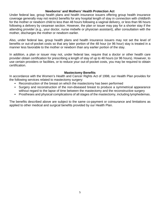#### **Newborns' and Mothers' Health Protection Act**

Under federal law, group health plans and health insurance issuers offering group health insurance coverage generally may not restrict benefits for any hospital length of stay in connection with childbirth for the mother or newborn child to less than 48 hours following a vaginal delivery, or less than 96 hours following a delivery by cesarean section. However, the plan or issuer may pay for a shorter stay if the attending provider (e.g., your doctor, nurse midwife or physician assistant), after consultation with the mother, discharges the mother or newborn earlier.

Also, under federal law, group health plans and health insurance issuers may not set the level of benefits or out-of-pocket costs so that any later portion of the 48 hour (or 96 hour) stay is treated in a manner less favorable to the mother or newborn than any earlier portion of the stay.

In addition, a plan or issuer may not, under federal law, require that a doctor or other health care provider obtain certification for prescribing a length of stay of up to 48 hours (or 96 hours). However, to use certain providers or facilities, or to reduce your out-of-pocket costs, you may be required to obtain certification.

#### **Mastectomy Benefits**

In accordance with the Women's Health and Cancer Rights Act of 1998, our Health Plan provides for the following services related to mastectomy surgery:

- Reconstruction of the breast on which the mastectomy has been performed
- Surgery and reconstruction of the non-diseased breast to produce a symmetrical appearance without regard to the lapse of time between the mastectomy and the reconstructive surgery
- Prostheses and physical complications of all stages of the mastectomy, including lymphedemas.

The benefits described above are subject to the same co-payment or coinsurance and limitations as applied to other medical and surgical benefits provided by our Health Plan.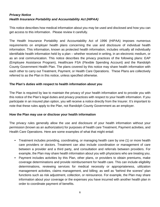#### **Privacy Notice Health Insurance Portability and Accountability Act (HIPAA)**

This notice describes how medical information about you may be used and disclosed and how you can get access to this information. Please review it carefully.

The Health Insurance Portability and Accountability Act of 1996 (HIPAA) imposes numerous requirements on employer health plans concerning the use and disclosure of individual health information. This information, known as protected health information, includes virtually all individually identifiable health information held by a plan – whether received in writing, in an electronic medium, or as an oral communication. This notice describes the privacy practices of the following plans: EAP (Employee Assistance Program), Healthcare FSA (Flexible Spending Account) and the Randolph County Government Health Plan. The plans covered by this notice may share health information with each other to carry out Treatment, Payment, or Health Care Operations. These Plans are collectively referred to as the Plan in this notice, unless specified otherwise.

#### **The Plan's duties with respect to health information about you**

The Plan is required by law to maintain the privacy of your health information and to provide you with this notice of the Plan's legal duties and privacy practices with respect to your health information. If you participate in an insured plan option, you will receive a notice directly from the Insurer. It's important to note that these rules apply to the Plan, not Randolph County Government as an employer.

#### **How the Plan may use or disclose your health information**

The privacy rules generally allow the use and disclosure of your health information without your permission (known as an authorization) for purposes of health care Treatment, Payment activities, and Health Care Operations. Here are some examples of what that might entail:

- Treatment includes providing, coordinating, or managing health care by one (1) or more health care providers or doctors. Treatment can also include coordination or management of care between a provider and a third party, and consultation and referrals between providers. For example, the Plan may share health information about you with physicians who are treating you.
- Payment includes activities by this Plan, other plans, or providers to obtain premiums, make coverage determinations and provide reimbursement for health care. This can include eligibility determinations, reviewing services for medical necessity or appropriateness, utilization management activities, claims management, and billing; as well as "behind the scenes" plan functions such as risk adjustment, collection, or reinsurance. For example, the Plan may share information about your coverage or the expenses you have incurred with another health plan in order to coordinate payment of benefits.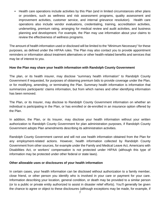• Health care operations include activities by this Plan (and in limited circumstances other plans or providers, such as wellness and risk assessment programs, quality assessment and improvement activities, customer service, and internal grievance resolution). Health care operations also include vendor evaluations, credentialing, training, accreditation activities, underwriting, premium rating, arranging for medical review and audit activities, and business planning and development. For example, the Plan may use information about your claims to review the effectiveness of wellness programs.

The amount of health information used or disclosed will be limited to the "Minimum Necessary" for these purposes, as defined under the HIPAA rules. The Plan may also contact you to provide appointment reminders or information about treatment alternatives or other health-related benefits and services that may be of interest to you.

#### **How the Plan may share your health information with Randolph County Government**

The plan, or its health insurer, may disclose "summary health information" to Randolph County Government if requested, for purposes of obtaining premium bids to provide coverage under the Plan, or for modifying, amending, or terminating the Plan. Summary health information is information that summarizes participants' claims information, but from which names and other identifying information has been removed.

The Plan, or its Insurer, may disclose to Randolph County Government information on whether an individual is participating in the Plan, or has enrolled or de-enrolled in an insurance option offered by the Plan.

In addition, the Plan, or its Insurer, may disclose your health information without your written authorization to Randolph County Government for plan administration purposes, if Randolph County Government adopts Plan amendments describing its administration activities.

Randolph County Government cannot and will not use health information obtained from the Plan for any employment-related actions. However, health information collected by Randolph County Government from other sources, for example under the Family and Medical Leave Act, Americans with Disabilities Act, or workers' compensation is not protected under HIPAA (although this type of information may be protected under other federal or state laws).

#### **Other allowable uses or disclosures of your health information**

In certain cases, your health information can be disclosed without authorization to a family member, close friend, or other person you identify who is involved in your care or payment for your care. Information describing your location, general condition, or death may be provided to a similar person (or to a public or private entity authorized to assist in disaster relief efforts). You'll generally be given the chance to agree or object to these disclosures (although exceptions may be made, for example, if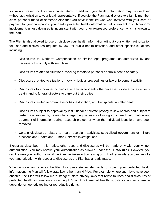you're not present or if you're incapacitated). In addition, your health information may be disclosed without authorization to your legal representative. If you die, the Plan may disclose to a family member, close personal friend or someone else that you have identified who was involved with your care or payment for your care prior to your death, protected health information that is relevant to such person's involvement, unless doing so is inconsistent with your prior expressed preference, which is known to the Plan.

The Plan is also allowed to use or disclose your health information without your written authorization for uses and disclosures required by law, for public health activities, and other specific situations, including:

- Disclosures to Workers' Compensation or similar legal programs, as authorized by and necessary to comply with such laws
- Disclosures related to situations involving threats to personal or public health or safety
- Disclosures related to situations involving judicial proceedings or law enforcement activity
- Disclosures to a coroner or medical examiner to identify the deceased or determine cause of death; and to funeral directors to carry out their duties
- Disclosures related to organ, eye or tissue donation, and transplantation after death
- Disclosures subject to approval by institutional or private privacy review boards and subject to certain assurances by researchers regarding necessity of using your health information and treatment of information during research project, or when the individual identifiers have been removed
- Certain disclosures related to health oversight activities, specialized government or military functions and Health and Human Services investigations

Except as described in this notice, other uses and disclosures will be made only with your written authorization. You may revoke your authorization as allowed under the HIPAA rules. However, you can't revoke your authorization if the Plan has taken action relying on it. In other words, you can't revoke your authorization with respect to disclosures the Plan has already made.

When a state law requires the Plan to impose stricter standards to protect your protected health information, the Plan will follow state law rather than HIPAA. For example, where such laws have been enacted, the Plan will follow more stringent state privacy laws that relate to uses and disclosures of protected health information concerning HIV or AIDS, mental health, substance abuse, chemical dependency, genetic testing or reproductive rights.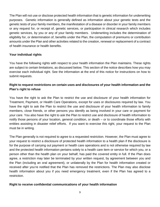The Plan will not use or disclose protected health information that is genetic information for underwriting purposes. Genetic information is generally defined as information about your genetic tests and the genetic tests of your family members, the manifestation of a disease or disorder in your family members or any request for, or receipt of, genetic services, or participation in clinical research which includes genetic services, by you or any of your family members. Underwriting includes the determination of eligibility for, or determination of, benefits under the Plan, the computation of premiums or contribution amounts under the Plan and other activities related to the creation, renewal or replacement of a contract of health insurance or health benefits.

#### **Your individual rights**

You have the following rights with respect to your health information the Plan maintains. These rights are subject to certain limitations, as discussed below. This section of the notice describes how you may exercise each individual right. See the information at the end of this notice for instructions on how to submit requests.

#### **Right to request restrictions on certain uses and disclosures of your health information and the Plan's right to refuse**

You have the right to ask the Plan to restrict the use and disclosure of your health information for Treatment, Payment, or Health Care Operations, except for uses or disclosures required by law. You have the right to ask the Plan to restrict the use and disclosure of your health information to family members, close friends, or other persons you identify as being involved in your care or payment for your care. You also have the right to ask the Plan to restrict use and disclosure of health information to notify those persons of your location, general condition, or death – or to coordinate those efforts with entities assisting in disaster relief efforts. If you want to exercise this right, your request to the Plan must be in writing.

The Plan generally is not required to agree to a requested restriction. However, the Plan must agree to your request to restrict a disclosure of protected health information to a health plan if the disclosure is for the purpose of carrying out payment or health care operations and is not otherwise required by law and the protected health information pertains solely to a health care item or service for which you, or a person other than the health plan on your behalf, has paid the covered entity in full. If the Plan does agree, a restriction may later be terminated by your written request, by agreement between you and the Plan (including an oral agreement), or unilaterally by the Plan for health information created or received after you're notified that the Plan has removed the restrictions. The Plan may also disclose health information about you if you need emergency treatment, even if the Plan has agreed to a restriction.

#### **Right to receive confidential communications of your health information**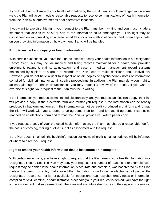If you think that disclosure of your health information by the usual means could endanger you in some way, the Plan will accommodate reasonable requests to receive communications of health information from the Plan by alternative means or at alternative locations.

If you want to exercise this right, your request to the Plan must be in writing and you must include a statement that disclosure of all or part of the information could endanger you. This right may be conditioned on you providing an alternative address or other method of contact and, when appropriate, on you providing information on how payment, if any, will be handled.

#### **Right to inspect and copy your health information**

With certain exceptions, you have the right to inspect or copy your health information in a "Designated Record Set." This may include medical and billing records maintained for a health care provider; enrollment, payment, claims, adjudication, and case or medical management record systems maintained by a plan; or a group of records the Plan uses to make decisions about individuals. However, you do not have a right to inspect or obtain copies of psychotherapy notes or information compiled for civil, criminal, or administrative proceedings. In addition, the Plan may deny your right to access, although in certain circumstances you may request a review of the denial. If you want to exercise this right, your request to the Plan must be in writing.

If the information you request is maintained electronically, and you request an electronic copy, the Plan will provide a copy in the electronic form and format you request, if the information can be readily produced in that form and format. If the information cannot be readily produced in that form and format, the Plan will work with you to come to an agreement on form and format. If agreement cannot be reached on an electronic form and format, the Plan will provide you with a paper copy.

If you request a copy of your protected health information, the Plan may charge a reasonable fee for the costs of copying, mailing or other supplies associated with the request.

If the Plan doesn't maintain the health information but knows where it is maintained, you will be informed of where to direct your request.

#### **Right to amend your health information that is inaccurate or incomplete**

With certain exceptions, you have a right to request that the Plan amend your health information in a Designated Record Set. The Plan may deny your request for a number of reasons. For example, your request may be denied if the health information is accurate and complete, was not created by the Plan (unless the person or entity that created the information is no longer available), is not part of the Designated Record Set, or is not available for inspections (e.g., psychotherapy notes or information compiled for civil, criminal, or administrative proceedings). If your request is denied, you have the right to file a statement of disagreement with the Plan and any future disclosures of the disputed information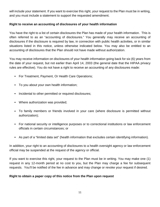will include your statement. If you want to exercise this right, your request to the Plan must be in writing, and you must include a statement to support the requested amendment.

#### **Right to receive an accounting of disclosures of your health information**

You have the right to a list of certain disclosures the Plan has made of your health information. This is often referred to as an "accounting of disclosures." You generally may receive an accounting of disclosures if the disclosure is required by law, in connection with public health activities, or in similar situations listed in this notice, unless otherwise indicated below. You may also be entitled to an accounting of disclosures that the Plan should not have made without authorization.

You may receive information on disclosures of your health information going back for six (6) years from the date of your request, but not earlier than April 14, 2003 (the general date that the HIPAA privacy rules are effective). You do not have a right to receive an accounting of any disclosures made:

- For Treatment, Payment, Or Health Care Operations;
- To you about your own health information;
- Incidental to other permitted or required disclosures;
- Where authorization was provided;
- To family members or friends involved in your care (where disclosure is permitted without authorization);
- For national security or intelligence purposes or to correctional institutions or law enforcement officials in certain circumstances; or
- As part of a "limited data set" (health information that excludes certain identifying information).

In addition, your right to an accounting of disclosures to a health oversight agency or law enforcement official may be suspended at the request of the agency or official.

If you want to exercise this right, your request to the Plan must be in writing. You may make one (1) request in any 12-month period at no cost to you, but the Plan may charge a fee for subsequent requests. You'll be notified of the fee in advance and may change or revoke your request if desired.

#### **Right to obtain a paper copy of this notice from the Plan upon request**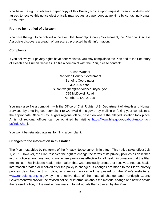You have the right to obtain a paper copy of this Privacy Notice upon request. Even individuals who agreed to receive this notice electronically may request a paper copy at any time by contacting Human Resources.

#### **Right to be notified of a breach**

You have the right to be notified in the event that Randolph County Government, the Plan or a Business Associate discovers a breach of unsecured protected health information.

#### **Complaints**

If you believe your privacy rights have been violated, you may complain to the Plan and to the Secretary of Health and Human Services. To file a complaint with the Plan, please contact:

> Susan Wagner Randolph County Government Benefits Coordinator 336-318-6604 susan.wagner@randolphcountync.gov 725 McDowell Road Asheboro, NC 27205

You may also file a complaint with the Office of Civil Rights, U.S. Department of Health and Human Services, by emailing your complaint to OCRMail@hhs.gov or by mailing or faxing your complaint to the appropriate Office of Civil Rights regional office, based on where the alleged violation took place. A list of regional offices can be obtained by visiting https://www.hhs.gov/ocr/about-us/contactus/index.html.

You won't be retaliated against for filing a complaint.

#### **Changes to the information in this notice**

The Plan must abide by the terms of the Privacy Notice currently in effect. This notice takes effect July 1, 2021. However, the Plan reserves the right to change the terms of its privacy policies as described in this notice at any time, and to make new provisions effective for all health information that the Plan maintains. This includes health information that was previously created or received, not just health information created or received after the policy is changed. If changes are made to the Plan's privacy policies described in this notice, any revised notice will be posted on the Plan's website at www.randolphcountync.gov by the effective date of the material change, and Randolph County Government will provide the revised notice, or information about the material change and how to obtain the revised notice, in the next annual mailing to individuals then covered by the Plan.